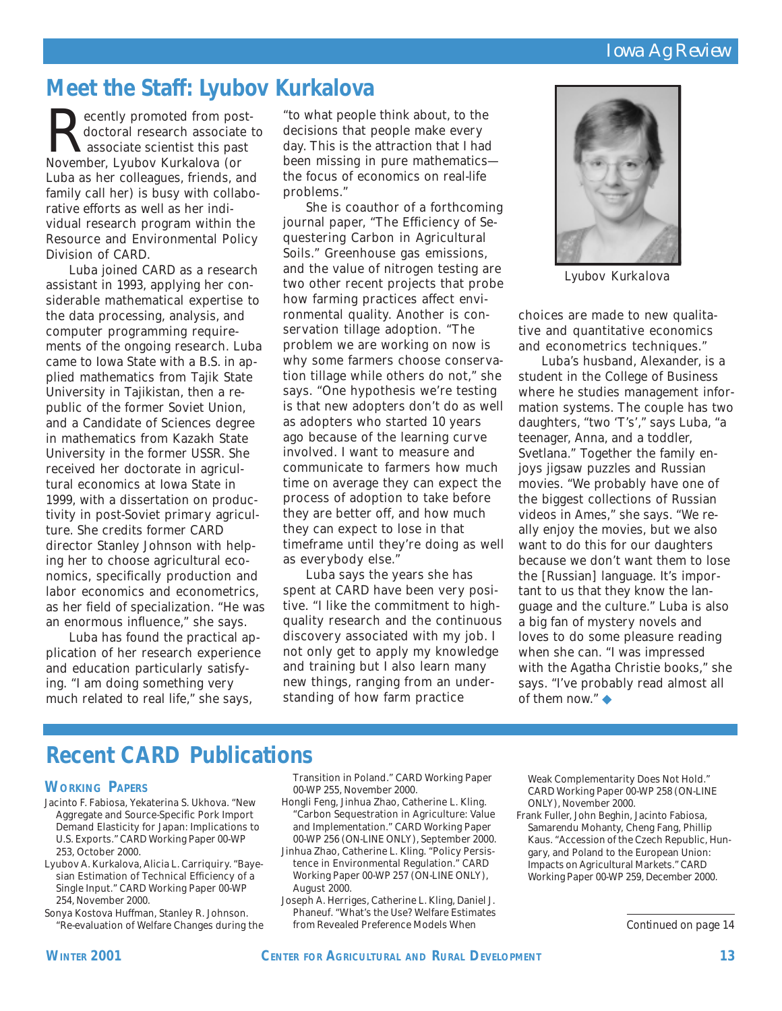# **Meet the Staff: Lyubov Kurkalova**

**Recently promoted from post-**<br>doctoral research associate<br>November Lyubov Kurkalova (or doctoral research associate to associate scientist this past November, Lyubov Kurkalova (or Luba as her colleagues, friends, and family call her) is busy with collaborative efforts as well as her individual research program within the Resource and Environmental Policy Division of CARD.

Luba joined CARD as a research assistant in 1993, applying her considerable mathematical expertise to the data processing, analysis, and computer programming requirements of the ongoing research. Luba came to Iowa State with a B.S. in applied mathematics from Tajik State University in Tajikistan, then a republic of the former Soviet Union, and a Candidate of Sciences degree in mathematics from Kazakh State University in the former USSR. She received her doctorate in agricultural economics at Iowa State in 1999, with a dissertation on productivity in post-Soviet primary agriculture. She credits former CARD director Stanley Johnson with helping her to choose agricultural economics, specifically production and labor economics and econometrics, as her field of specialization. "He was an enormous influence," she says.

Luba has found the practical application of her research experience and education particularly satisfying. "I am doing something very much related to real life," she says,

"to what people think about, to the decisions that people make every day. This is the attraction that I had been missing in pure mathematics the focus of economics on real-life problems."

She is coauthor of a forthcoming journal paper, "The Efficiency of Sequestering Carbon in Agricultural Soils." Greenhouse gas emissions, and the value of nitrogen testing are two other recent projects that probe how farming practices affect environmental quality. Another is conservation tillage adoption. "The problem we are working on now is why some farmers choose conservation tillage while others do not," she says. "One hypothesis we're testing is that new adopters don't do as well as adopters who started 10 years ago because of the learning curve involved. I want to measure and communicate to farmers how much time on average they can expect the process of adoption to take before they are better off, and how much they can expect to lose in that timeframe until they're doing as well as everybody else."

Luba says the years she has spent at CARD have been very positive. "I like the commitment to highquality research and the continuous discovery associated with my job. I not only get to apply my knowledge and training but I also learn many new things, ranging from an understanding of how farm practice



*Lyubov Kurkalova*

choices are made to new qualitative and quantitative economics and econometrics techniques."

Luba's husband, Alexander, is a student in the College of Business where he studies management information systems. The couple has two daughters, "two 'T's'," says Luba, "a teenager, Anna, and a toddler, Svetlana." Together the family enjoys jigsaw puzzles and Russian movies. "We probably have one of the biggest collections of Russian videos in Ames," she says. "We really enjoy the movies, but we also want to do this for our daughters because we don't want them to lose the [Russian] language. It's important to us that they know the language and the culture." Luba is also a big fan of mystery novels and loves to do some pleasure reading when she can. "I was impressed with the Agatha Christie books," she says. "I've probably read almost all of them now." ◆

## **Recent CARD Publications**

#### **WORKING PAPERS**

- Jacinto F. Fabiosa, Yekaterina S. Ukhova. "New Aggregate and Source-Specific Pork Import Demand Elasticity for Japan: Implications to U.S. Exports." CARD Working Paper 00-WP 253, October 2000.
- Lyubov A. Kurkalova, Alicia L. Carriquiry. "Bayesian Estimation of Technical Efficiency of a Single Input." CARD Working Paper 00-WP 254, November 2000.
- Sonya Kostova Huffman, Stanley R. Johnson. "Re-evaluation of Welfare Changes during the

Transition in Poland." CARD Working Paper 00-WP 255, November 2000.

- Hongli Feng, Jinhua Zhao, Catherine L. Kling. "Carbon Sequestration in Agriculture: Value and Implementation." CARD Working Paper 00-WP 256 (ON-LINE ONLY), September 2000.
- Jinhua Zhao, Catherine L. Kling. "Policy Persistence in Environmental Regulation." CARD Working Paper 00-WP 257 (ON-LINE ONLY), August 2000.
- Joseph A. Herriges, Catherine L. Kling, Daniel J. Phaneuf. "What's the Use? Welfare Estimates from Revealed Preference Models When

Weak Complementarity Does Not Hold." CARD Working Paper 00-WP 258 (ON-LINE ONLY), November 2000.

Frank Fuller, John Beghin, Jacinto Fabiosa, Samarendu Mohanty, Cheng Fang, Phillip Kaus. "Accession of the Czech Republic, Hungary, and Poland to the European Union: Impacts on Agricultural Markets." CARD Working Paper 00-WP 259, December 2000.

*Continued on page 14*